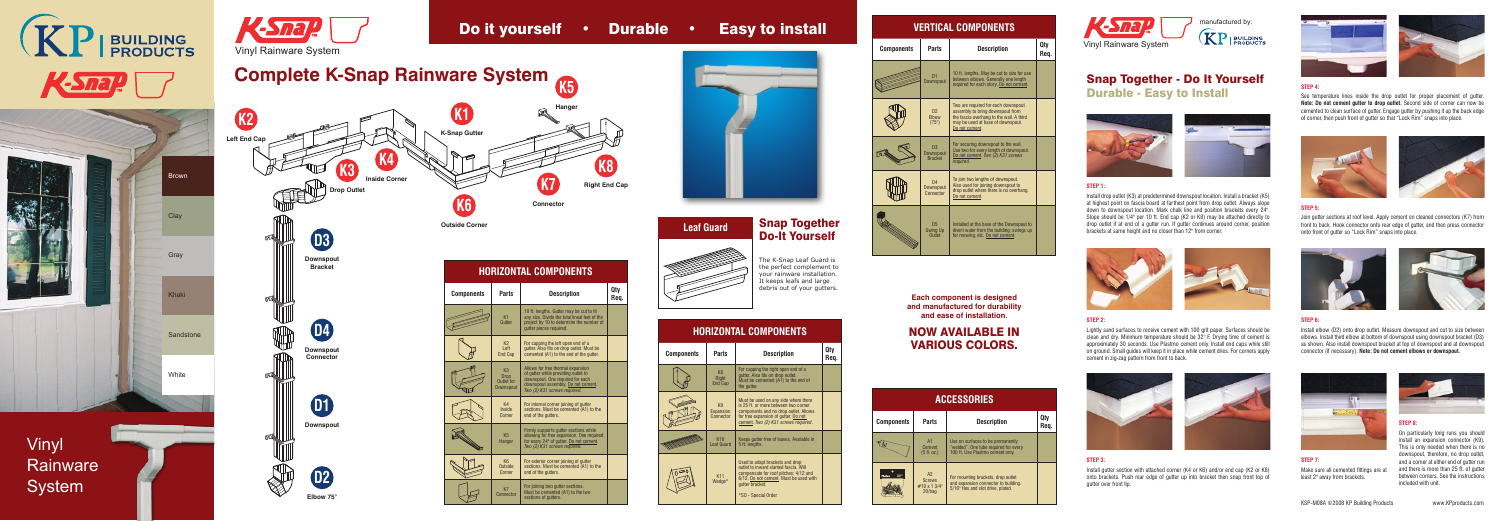



**HORIZONTAL COMPONENTS**

# **Despto install**

| <b>Components</b>       | Parts                                                    | <b>Description</b>                                                                                                                                                                 | Qty<br>Req |
|-------------------------|----------------------------------------------------------|------------------------------------------------------------------------------------------------------------------------------------------------------------------------------------|------------|
|                         | K <sub>1</sub><br>Gutter                                 | 10 ft. lengths. Gutter may be cut to fit<br>any size. Divide the total lineal feet of the<br>project by 10 to determine the number of<br>qutter pieces required.                   |            |
|                         | K <sub>2</sub><br>Left<br>End Cap                        | For capping the left open end of a<br>gutter. Also fits on drop outlet. Must be<br>cemented (A1) to the end of the gutter.                                                         |            |
|                         | K <sub>3</sub><br><b>Drop</b><br>Outlet for<br>Downspout | Allows for free thermal expansion<br>of gutter while providing outlet to<br>downspout. One required for each<br>downspout assembly. Do not cement.<br>Two (2) K31 screws required. |            |
|                         | K4<br>Inside<br>Corner                                   | For internal corner joining of gutter<br>sections. Must be cemented (A1) to the<br>end of the gutters.                                                                             |            |
| <b>College Property</b> | K <sub>5</sub><br>Hanger                                 | Firmly supports gutter sections while<br>allowing for free expansion. One required<br>for every 24" of gutter. Do not cement.<br>Two (2) K31 screws required.                      |            |
|                         | K <sub>6</sub>                                           | For exterior corner joining of gutter                                                                                                                                              |            |

K7 **nnector** 

| nts | Parts                                                    | <b>Description</b>                                                                                                                                                                 | Qty<br>Req. |
|-----|----------------------------------------------------------|------------------------------------------------------------------------------------------------------------------------------------------------------------------------------------|-------------|
|     | K1<br>Gutter                                             | 10 ft. lengths. Gutter may be cut to fit<br>any size. Divide the total lineal feet of the<br>project by 10 to determine the number of<br>qutter pieces required.                   |             |
|     | K <sub>2</sub><br>Left<br><b>End Cap</b>                 | For capping the left open end of a<br>gutter. Also fits on drop outlet. Must be<br>cemented (A1) to the end of the gutter.                                                         |             |
|     | K <sub>3</sub><br><b>Drop</b><br>Outlet for<br>Downspout | Allows for free thermal expansion<br>of gutter while providing outlet to<br>downspout. One required for each<br>downspout assembly. Do not cement.<br>Two (2) K31 screws required. |             |
|     | K4<br><b>Inside</b><br>Corner                            | For internal corner joining of gutter<br>sections. Must be cemented (A1) to the<br>end of the autters.                                                                             |             |
|     | K <sub>5</sub><br>Hanger                                 | Firmly supports gutter sections while<br>allowing for free expansion. One required<br>for every 24" of gutter. Do not cement.<br>Two (2) K31 screws required.                      |             |
|     | K <sub>6</sub><br>Outside<br>Corner                      | For exterior corner joining of gutter<br>sections. Must be cemented (A1) to the<br>end of the gutters.                                                                             |             |
|     | K7                                                       | For joining two gutter sections.<br>Must be cemented (A1) to the two                                                                                                               |             |

sections of gutters.

### **HORIZONTAL COMPONENTS**

| <b>Components</b> | <b>Parts</b>                         | <b>Description</b>                                                                                                                                                                                    | Qtv<br>Req. |
|-------------------|--------------------------------------|-------------------------------------------------------------------------------------------------------------------------------------------------------------------------------------------------------|-------------|
|                   | K <sub>8</sub><br>Right<br>End Cap   | For capping the right open end of a<br>gutter. Also fits on drop outlet.<br>Must be cemented (A1) to the end of<br>the gutter.                                                                        |             |
|                   | K9<br>Expansion<br>Connector         | Must be used on any side where there<br>is 25 ft. or more between two corner<br>components and no drop outlet. Allows<br>for free expansion of gutter. Do not<br>cement. Two (2) K31 screws required. |             |
|                   | K <sub>10</sub><br><b>Leaf Guard</b> | Keeps gutter free of leaves. Available in<br>5 ft. lengths.                                                                                                                                           |             |
|                   | K11<br>Wedge*                        | Used to adapt brackets and drop<br>outlet to inward slanted fascia. Will<br>compensate for roof pitches: 4/12 and<br>6/12. Do not cement. Must be used with<br>gutter bracket.<br>*SO - Special Order |             |

## Snap Together Do-It Yourself

The K-Snap Leaf Guard is the perfect complement to your rainware installation. It keeps leafs and large debris out of your gutters.

## Snap Together - Do It Yourself Durable - Easy to Install



### **STEP 1:**

#### **VERTICAL COMPONENTS Components Parts Description Qty Req.** 10 ft. lengths. May be cut to size for use between elbows. Generally one length D1 Downspout required for each story. Do not cement. wo are required for each downspout  $D<sub>2</sub>$ assembly to bring downspout from the fascia overhang to the wall. A third Elbow (75°) may be used at base of downspout. o not cement. or securing downspout to the wall. D3 Use two for every length of downspout. Downspout Bracket Do not cement. *Two (2) K31 screws required*. € io join two lengths of downspout. D4 Also used for joining downspout to **DWNSDOL** drop outlet where there is no overhang. onnect o not cement. istalled at the base of the Downspout to D<sub>5</sub> Swing Up divert water from the building; swings up for mowing, etc. Do not cement. **Outlet**

Install drop outlet (K3) at predetermined downspout location. Install a bracket (K5) at highest point on fascia board at farthest point from drop outlet. Always slope down to downspout location. Mark chalk line and position brackets every 24". Slope should be 1/4" per 10 ft. End cap (K2 or K8) may be attached directly to drop outlet if at end of a gutter run. If gutter continues around corner, position brackets at same height and no closer than 12" from corner.



### **STEP 2:**

Lightly sand surfaces to receive cement with 100 grit paper. Surfaces should be clean and dry. Minimum temperature should be 32° F. Drying time of cement is approximately 30 seconds. Use Plastmo cement only. Install end caps while still on ground. Small guides will keep it in place while cement dries. For corners apply cement in zig-zag pattern from front to back.





**STEP 3:**

### Install gutter section with attached corner (K4 or K6) and/or end cap (K2 or K8) onto brackets. Push rear edge of gutter up into bracket then snap front top of gutter over front tip.





### **STEP 5:**



Join gutter sections at roof level. Apply cement on cleaned connectors (K7) from front to back. Hook connector onto rear edge of gutter, and then press connector onto front of gutter so "Lock Rim" snaps into place.





### **STEP 7:** Make sure all cemented fittings are at least 2" away from brackets.



### **STEP 6:**

Install elbow (D2) onto drop outlet. Measure downspout and cut to size between elbows. Install third elbow at bottom of downspout using downspout bracket (D3) as shown. Also install downspout bracket at top of downspout and at downspout connector (if necessary). **Note: Do not cement elbows or downspout.**



#### On particularly long runs you should install an expansion connector (K9). This is only needed when there is no downspout, therefore, no drop outlet, and a corner at either end of gutter run and there is more than 25 ft. of gutter between corners. See the instructions included with unit.

KSP-M08A ©2008 KP Building Products www.KPproducts.com

### **STEP 4:**

See temperature lines inside the drop outlet for proper placement of gutter. **Note: Do not cement gutter to drop outlet.** Second side of corner can now be cemented to clean surface of gutter. Engage gutter by pushing it up the back edge of corner, then push front of gutter so that "Lock Rim" snaps into place.





| <b>Leaf Guard</b> |
|-------------------|
|                   |

**D1**

**Downspout**

**D2 Elbow 75°**

| Do it yourself • Durable • Ea |  |  |
|-------------------------------|--|--|
|                               |  |  |





**Each component is designed and manufactured for durability and ease of installation.**

## NOW AVAILABLE IN VARIOUS COLORS.

| <b>ACCESSORIES</b>             |                                                  |                                                                                                                 |             |
|--------------------------------|--------------------------------------------------|-----------------------------------------------------------------------------------------------------------------|-------------|
| <b>Components</b>              | <b>Parts</b>                                     | <b>Description</b>                                                                                              | Qtv<br>Req. |
|                                | A1<br>Cement<br>$(5 \text{ fl. oz.})$            | Use on surfaces to be permanently<br>"welded". One tube required for every<br>100 ft. Use Plastmo cement only.  |             |
| <b>GEEN</b><br>Plastmo<br>an m | A2<br><b>Screws</b><br>#10 x 1 3/4"<br>$20/b$ ag | For mounting brackets, drop outlet<br>and expansion connector to building.<br>5/16" Hex and slot drive, plated. |             |